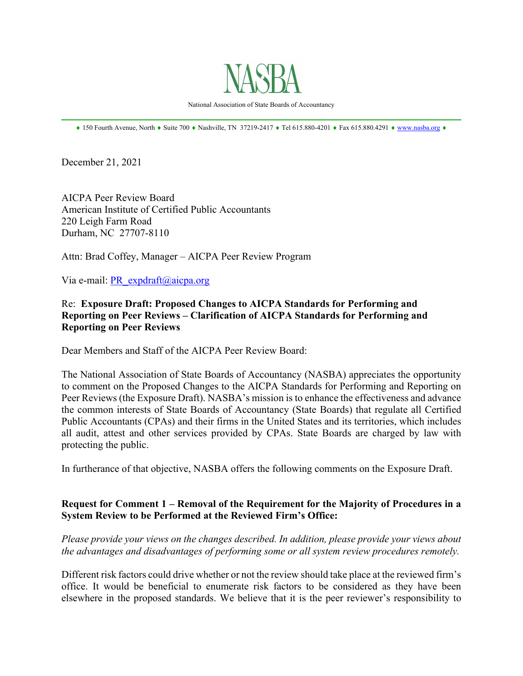

National Association of State Boards of Accountancy  $\mathcal{L}_\mathcal{L} = \mathcal{L}_\mathcal{L} = \mathcal{L}_\mathcal{L} = \mathcal{L}_\mathcal{L} = \mathcal{L}_\mathcal{L} = \mathcal{L}_\mathcal{L} = \mathcal{L}_\mathcal{L} = \mathcal{L}_\mathcal{L} = \mathcal{L}_\mathcal{L} = \mathcal{L}_\mathcal{L} = \mathcal{L}_\mathcal{L} = \mathcal{L}_\mathcal{L} = \mathcal{L}_\mathcal{L} = \mathcal{L}_\mathcal{L} = \mathcal{L}_\mathcal{L} = \mathcal{L}_\mathcal{L} = \mathcal{L}_\mathcal{L}$ 

 $*$  150 Fourth Avenue, North  $*$  Suite 700  $*$  Nashville, TN 37219-2417  $*$  Tel 615.880-4201  $*$  Fax 615.880.4291  $*$  www.nasba.org  $*$ 

December 21, 2021

AICPA Peer Review Board American Institute of Certified Public Accountants 220 Leigh Farm Road Durham, NC 27707-8110

Attn: Brad Coffey, Manager – AICPA Peer Review Program

Via e-mail: PR\_expdraft@aicpa.org

#### Re: **Exposure Draft: Proposed Changes to AICPA Standards for Performing and Reporting on Peer Reviews – Clarification of AICPA Standards for Performing and Reporting on Peer Reviews**

Dear Members and Staff of the AICPA Peer Review Board:

The National Association of State Boards of Accountancy (NASBA) appreciates the opportunity to comment on the Proposed Changes to the AICPA Standards for Performing and Reporting on Peer Reviews (the Exposure Draft). NASBA's mission is to enhance the effectiveness and advance the common interests of State Boards of Accountancy (State Boards) that regulate all Certified Public Accountants (CPAs) and their firms in the United States and its territories, which includes all audit, attest and other services provided by CPAs. State Boards are charged by law with protecting the public.

In furtherance of that objective, NASBA offers the following comments on the Exposure Draft.

### **Request for Comment 1 – Removal of the Requirement for the Majority of Procedures in a System Review to be Performed at the Reviewed Firm's Office:**

*Please provide your views on the changes described. In addition, please provide your views about the advantages and disadvantages of performing some or all system review procedures remotely.* 

Different risk factors could drive whether or not the review should take place at the reviewed firm's office. It would be beneficial to enumerate risk factors to be considered as they have been elsewhere in the proposed standards. We believe that it is the peer reviewer's responsibility to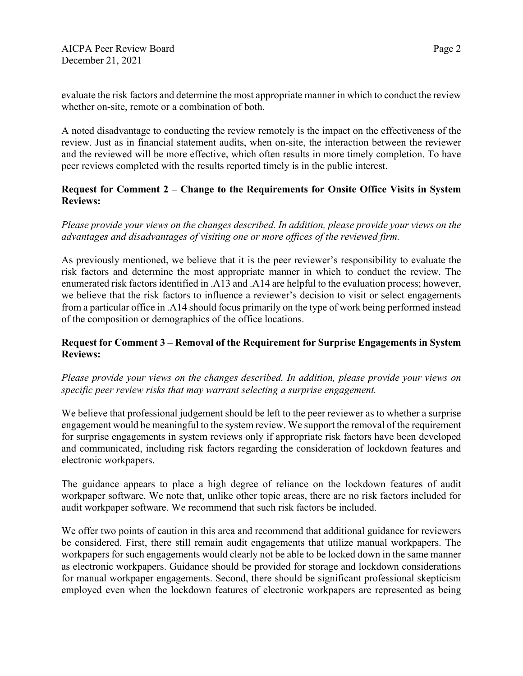evaluate the risk factors and determine the most appropriate manner in which to conduct the review whether on-site, remote or a combination of both.

A noted disadvantage to conducting the review remotely is the impact on the effectiveness of the review. Just as in financial statement audits, when on-site, the interaction between the reviewer and the reviewed will be more effective, which often results in more timely completion. To have peer reviews completed with the results reported timely is in the public interest.

# **Request for Comment 2 – Change to the Requirements for Onsite Office Visits in System Reviews:**

# *Please provide your views on the changes described. In addition, please provide your views on the advantages and disadvantages of visiting one or more offices of the reviewed firm.*

As previously mentioned, we believe that it is the peer reviewer's responsibility to evaluate the risk factors and determine the most appropriate manner in which to conduct the review. The enumerated risk factors identified in .A13 and .A14 are helpful to the evaluation process; however, we believe that the risk factors to influence a reviewer's decision to visit or select engagements from a particular office in .A14 should focus primarily on the type of work being performed instead of the composition or demographics of the office locations.

# **Request for Comment 3 – Removal of the Requirement for Surprise Engagements in System Reviews:**

### *Please provide your views on the changes described. In addition, please provide your views on specific peer review risks that may warrant selecting a surprise engagement.*

We believe that professional judgement should be left to the peer reviewer as to whether a surprise engagement would be meaningful to the system review. We support the removal of the requirement for surprise engagements in system reviews only if appropriate risk factors have been developed and communicated, including risk factors regarding the consideration of lockdown features and electronic workpapers.

The guidance appears to place a high degree of reliance on the lockdown features of audit workpaper software. We note that, unlike other topic areas, there are no risk factors included for audit workpaper software. We recommend that such risk factors be included.

We offer two points of caution in this area and recommend that additional guidance for reviewers be considered. First, there still remain audit engagements that utilize manual workpapers. The workpapers for such engagements would clearly not be able to be locked down in the same manner as electronic workpapers. Guidance should be provided for storage and lockdown considerations for manual workpaper engagements. Second, there should be significant professional skepticism employed even when the lockdown features of electronic workpapers are represented as being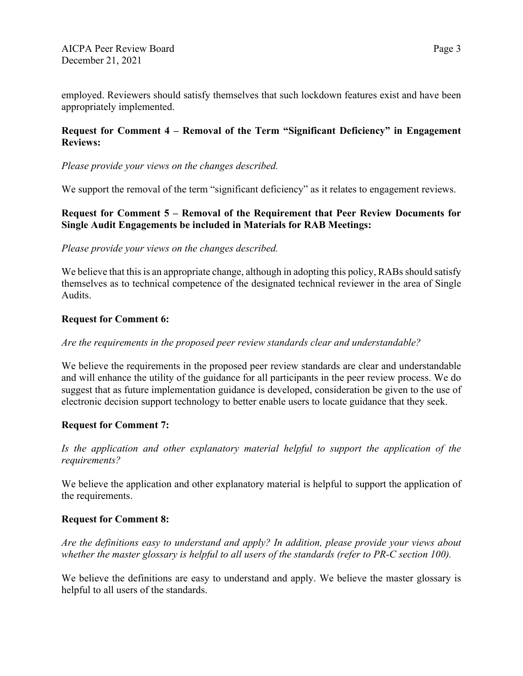employed. Reviewers should satisfy themselves that such lockdown features exist and have been appropriately implemented.

# **Request for Comment 4 – Removal of the Term "Significant Deficiency" in Engagement Reviews:**

### *Please provide your views on the changes described.*

We support the removal of the term "significant deficiency" as it relates to engagement reviews.

### **Request for Comment 5 – Removal of the Requirement that Peer Review Documents for Single Audit Engagements be included in Materials for RAB Meetings:**

### *Please provide your views on the changes described.*

We believe that this is an appropriate change, although in adopting this policy, RABs should satisfy themselves as to technical competence of the designated technical reviewer in the area of Single Audits.

### **Request for Comment 6:**

#### *Are the requirements in the proposed peer review standards clear and understandable?*

We believe the requirements in the proposed peer review standards are clear and understandable and will enhance the utility of the guidance for all participants in the peer review process. We do suggest that as future implementation guidance is developed, consideration be given to the use of electronic decision support technology to better enable users to locate guidance that they seek.

#### **Request for Comment 7:**

*Is the application and other explanatory material helpful to support the application of the requirements?*

We believe the application and other explanatory material is helpful to support the application of the requirements.

### **Request for Comment 8:**

*Are the definitions easy to understand and apply? In addition, please provide your views about whether the master glossary is helpful to all users of the standards (refer to PR-C section 100).*

We believe the definitions are easy to understand and apply. We believe the master glossary is helpful to all users of the standards.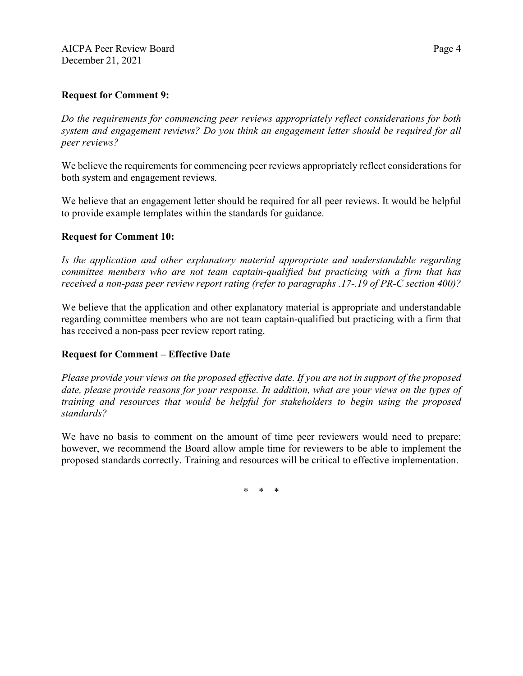### **Request for Comment 9:**

*Do the requirements for commencing peer reviews appropriately reflect considerations for both system and engagement reviews? Do you think an engagement letter should be required for all peer reviews?*

We believe the requirements for commencing peer reviews appropriately reflect considerations for both system and engagement reviews.

We believe that an engagement letter should be required for all peer reviews. It would be helpful to provide example templates within the standards for guidance.

### **Request for Comment 10:**

*Is the application and other explanatory material appropriate and understandable regarding committee members who are not team captain-qualified but practicing with a firm that has received a non-pass peer review report rating (refer to paragraphs .17-.19 of PR-C section 400)?*

We believe that the application and other explanatory material is appropriate and understandable regarding committee members who are not team captain-qualified but practicing with a firm that has received a non-pass peer review report rating.

### **Request for Comment – Effective Date**

*Please provide your views on the proposed effective date. If you are not in support of the proposed date, please provide reasons for your response. In addition, what are your views on the types of training and resources that would be helpful for stakeholders to begin using the proposed standards?*

We have no basis to comment on the amount of time peer reviewers would need to prepare; however, we recommend the Board allow ample time for reviewers to be able to implement the proposed standards correctly. Training and resources will be critical to effective implementation.

\* \* \*